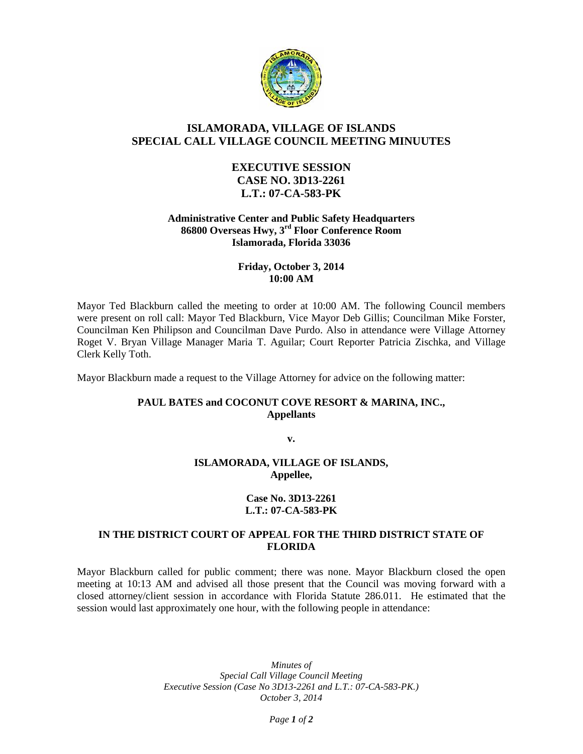

# **ISLAMORADA, VILLAGE OF ISLANDS SPECIAL CALL VILLAGE COUNCIL MEETING MINUUTES**

## **EXECUTIVE SESSION CASE NO. 3D13-2261 L.T.: 07-CA-583-PK**

#### **Administrative Center and Public Safety Headquarters 86800 Overseas Hwy, 3rd Floor Conference Room Islamorada, Florida 33036**

### **Friday, October 3, 2014 10:00 AM**

Mayor Ted Blackburn called the meeting to order at 10:00 AM. The following Council members were present on roll call: Mayor Ted Blackburn, Vice Mayor Deb Gillis; Councilman Mike Forster, Councilman Ken Philipson and Councilman Dave Purdo. Also in attendance were Village Attorney Roget V. Bryan Village Manager Maria T. Aguilar; Court Reporter Patricia Zischka, and Village Clerk Kelly Toth.

Mayor Blackburn made a request to the Village Attorney for advice on the following matter:

### **PAUL BATES and COCONUT COVE RESORT & MARINA, INC., Appellants**

**v.**

### **ISLAMORADA, VILLAGE OF ISLANDS, Appellee,**

#### **Case No. 3D13-2261 L.T.: 07-CA-583-PK**

### **IN THE DISTRICT COURT OF APPEAL FOR THE THIRD DISTRICT STATE OF FLORIDA**

Mayor Blackburn called for public comment; there was none. Mayor Blackburn closed the open meeting at 10:13 AM and advised all those present that the Council was moving forward with a closed attorney/client session in accordance with Florida Statute 286.011. He estimated that the session would last approximately one hour, with the following people in attendance:

> *Minutes of Special Call Village Council Meeting Executive Session (Case No 3D13-2261 and L.T.: 07-CA-583-PK.) October 3, 2014*